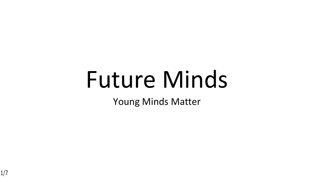# Future Minds

Young Minds Matter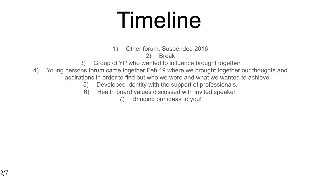# Timeline

1) Other forum. Suspended 2016

2) Break

- 3) Group of YP who wanted to influence brought together
- 4) Young persons forum came together Feb 19 where we brought together our thoughts and aspirations in order to find out who we were and what we wanted to achieve
	- 5) Developed identity with the support of professionals.
	- 6) Health board values discussed with invited speaker.
		- 7) Bringing our ideas to you!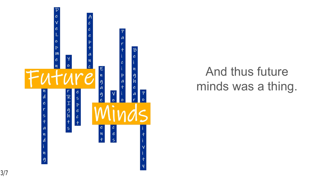

#### And thus future minds was a thing.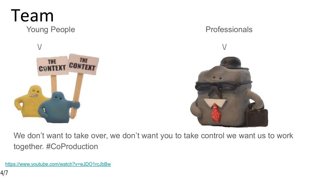

We don't want to take over, we don't want you to take control we want us to work together. #CoProduction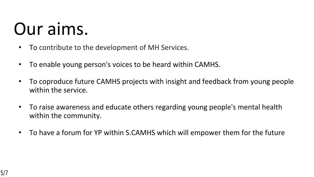### Our aims.

- To contribute to the development of MH Services.
- To enable young person's voices to be heard within CAMHS.
- To coproduce future CAMHS projects with insight and feedback from young people within the service.
- To raise awareness and educate others regarding young people's mental health within the community.
- To have a forum for YP within S.CAMHS which will empower them for the future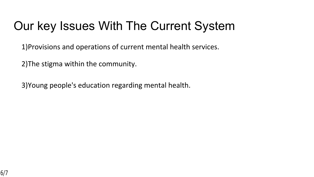### Our key Issues With The Current System

1)Provisions and operations of current mental health services.

2)The stigma within the community.

3)Young people's education regarding mental health.